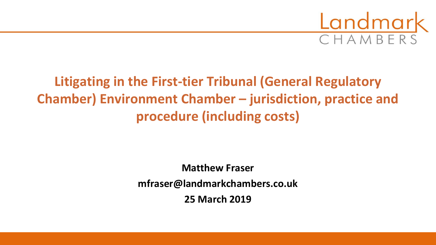

# **Litigating in the First-tier Tribunal (General Regulatory Chamber) Environment Chamber – jurisdiction, practice and procedure (including costs)**

#### **Matthew Fraser mfraser@landmarkchambers.co.uk 25 March 2019**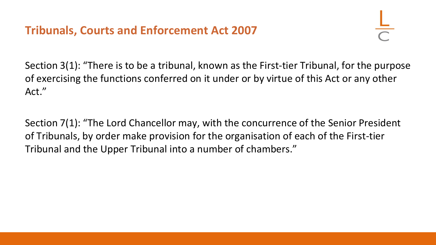### **Tribunals, Courts and Enforcement Act 2007**

Section 3(1): "There is to be a tribunal, known as the First-tier Tribunal, for the purpose of exercising the functions conferred on it under or by virtue of this Act or any other Act."

Section 7(1): "The Lord Chancellor may, with the concurrence of the Senior President of Tribunals, by order make provision for the organisation of each of the First-tier Tribunal and the Upper Tribunal into a number of chambers."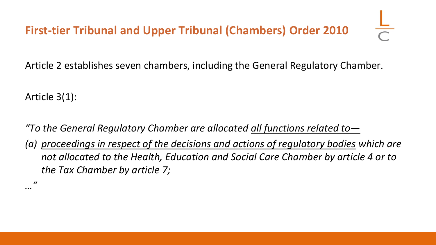Article 2 establishes seven chambers, including the General Regulatory Chamber.

Article 3(1):

*"To the General Regulatory Chamber are allocated all functions related to—*

*(a) proceedings in respect of the decisions and actions of regulatory bodies which are not allocated to the Health, Education and Social Care Chamber by article 4 or to the Tax Chamber by article 7;*

*…"*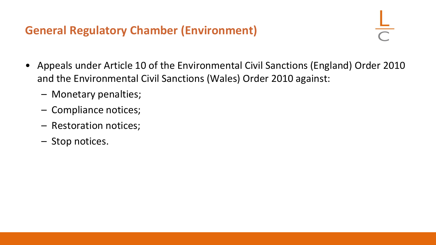#### **General Regulatory Chamber (Environment)**

- Appeals under Article 10 of the Environmental Civil Sanctions (England) Order 2010 and the Environmental Civil Sanctions (Wales) Order 2010 against:
	- Monetary penalties;
	- Compliance notices;
	- Restoration notices;
	- Stop notices.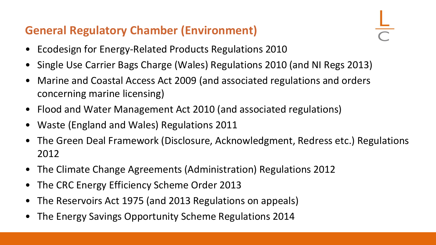### **General Regulatory Chamber (Environment)**

- Ecodesign for Energy-Related Products Regulations 2010
- Single Use Carrier Bags Charge (Wales) Regulations 2010 (and NI Regs 2013)
- Marine and Coastal Access Act 2009 (and associated regulations and orders concerning marine licensing)
- Flood and Water Management Act 2010 (and associated regulations)
- Waste (England and Wales) Regulations 2011
- The Green Deal Framework (Disclosure, Acknowledgment, Redress etc.) Regulations 2012
- The Climate Change Agreements (Administration) Regulations 2012
- The CRC Energy Efficiency Scheme Order 2013
- The Reservoirs Act 1975 (and 2013 Regulations on appeals)
- The Energy Savings Opportunity Scheme Regulations 2014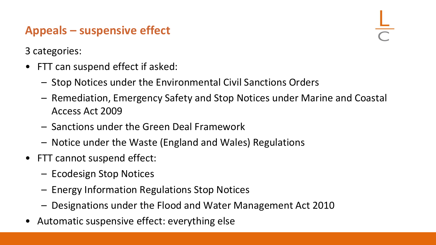## **Appeals – suspensive effect**

3 categories:

- FTT can suspend effect if asked:
	- Stop Notices under the Environmental Civil Sanctions Orders
	- Remediation, Emergency Safety and Stop Notices under Marine and Coastal Access Act 2009
	- Sanctions under the Green Deal Framework
	- Notice under the Waste (England and Wales) Regulations
- FTT cannot suspend effect:
	- Ecodesign Stop Notices
	- Energy Information Regulations Stop Notices
	- Designations under the Flood and Water Management Act 2010
- Automatic suspensive effect: everything else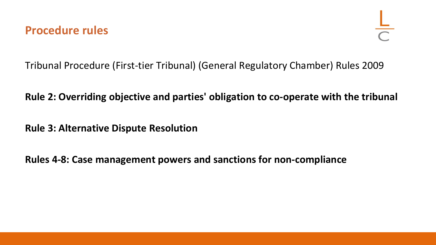Tribunal Procedure (First-tier Tribunal) (General Regulatory Chamber) Rules 2009

#### **Rule 2: Overriding objective and parties' obligation to co-operate with the tribunal**

**Rule 3: Alternative Dispute Resolution**

**Rules 4-8: Case management powers and sanctions for non-compliance**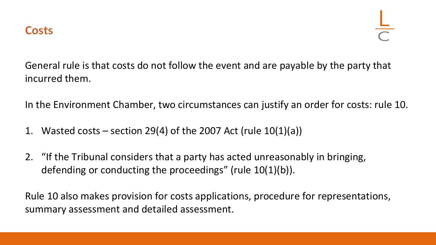General rule is that costs do not follow the event and are payable by the party that incurred them.

In the Environment Chamber, two circumstances can justify an order for costs: rule 10.

- 1. Wasted costs section 29(4) of the 2007 Act (rule  $10(1)(a)$ )
- 2. "If the Tribunal considers that a party has acted unreasonably in bringing, defending or conducting the proceedings" (rule 10(1)(b)).

Rule 10 also makes provision for costs applications, procedure for representations, summary assessment and detailed assessment.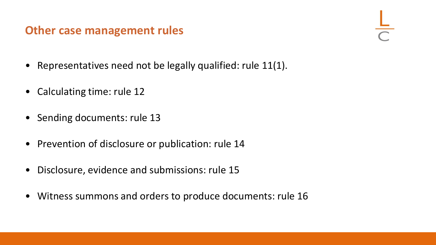#### **Other case management rules**

- Representatives need not be legally qualified: rule 11(1).
- Calculating time: rule 12
- Sending documents: rule 13
- Prevention of disclosure or publication: rule 14
- Disclosure, evidence and submissions: rule 15
- Witness summons and orders to produce documents: rule 16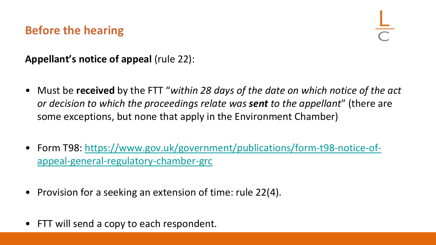### **Before the hearing**

**Appellant's notice of appeal** (rule 22):

- Must be **received** by the FTT "*within 28 days of the date on which notice of the act or decision to which the proceedings relate was sent to the appellant*" (there are some exceptions, but none that apply in the Environment Chamber)
- [Form T98: https://www.gov.uk/government/publications/form-t98-notice-of](https://www.gov.uk/government/publications/form-t98-notice-of-appeal-general-regulatory-chamber-grc)appeal-general-regulatory-chamber-grc
- Provision for a seeking an extension of time: rule 22(4).
- FTT will send a copy to each respondent.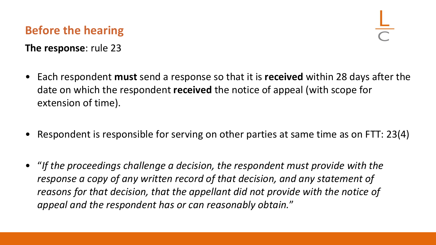## **Before the hearing**

- **The response**: rule 23
- Each respondent **must** send a response so that it is **received** within 28 days after the date on which the respondent **received** the notice of appeal (with scope for extension of time).
- Respondent is responsible for serving on other parties at same time as on FTT: 23(4)
- "*If the proceedings challenge a decision, the respondent must provide with the response a copy of any written record of that decision, and any statement of reasons for that decision, that the appellant did not provide with the notice of appeal and the respondent has or can reasonably obtain.*"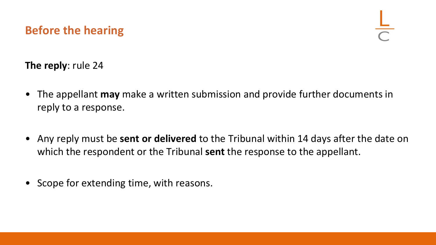#### **Before the hearing**

**The reply**: rule 24

- The appellant **may** make a written submission and provide further documents in reply to a response.
- Any reply must be **sent or delivered** to the Tribunal within 14 days after the date on which the respondent or the Tribunal **sent** the response to the appellant.
- Scope for extending time, with reasons.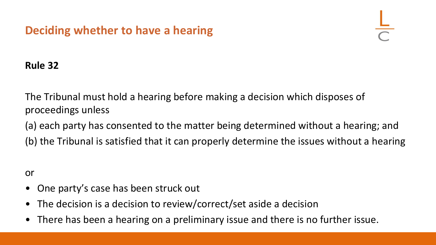### **Deciding whether to have a hearing**

#### **Rule 32**

The Tribunal must hold a hearing before making a decision which disposes of proceedings unless

(a) each party has consented to the matter being determined without a hearing; and (b) the Tribunal is satisfied that it can properly determine the issues without a hearing

or

- One party's case has been struck out
- The decision is a decision to review/correct/set aside a decision
- There has been a hearing on a preliminary issue and there is no further issue.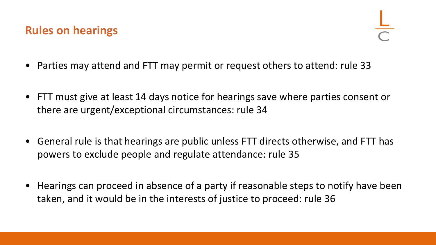#### **Rules on hearings**

- Parties may attend and FTT may permit or request others to attend: rule 33
- FTT must give at least 14 days notice for hearings save where parties consent or there are urgent/exceptional circumstances: rule 34
- General rule is that hearings are public unless FTT directs otherwise, and FTT has powers to exclude people and regulate attendance: rule 35
- Hearings can proceed in absence of a party if reasonable steps to notify have been taken, and it would be in the interests of justice to proceed: rule 36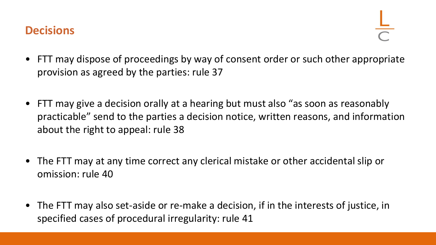#### **Decisions**

- FTT may dispose of proceedings by way of consent order or such other appropriate provision as agreed by the parties: rule 37
- FTT may give a decision orally at a hearing but must also "as soon as reasonably practicable" send to the parties a decision notice, written reasons, and information about the right to appeal: rule 38
- The FTT may at any time correct any clerical mistake or other accidental slip or omission: rule 40
- The FTT may also set-aside or re-make a decision, if in the interests of justice, in specified cases of procedural irregularity: rule 41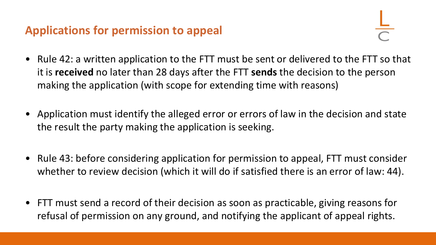### **Applications for permission to appeal**

- Rule 42: a written application to the FTT must be sent or delivered to the FTT so that it is **received** no later than 28 days after the FTT **sends** the decision to the person making the application (with scope for extending time with reasons)
- Application must identify the alleged error or errors of law in the decision and state the result the party making the application is seeking.
- Rule 43: before considering application for permission to appeal, FTT must consider whether to review decision (which it will do if satisfied there is an error of law: 44).
- FTT must send a record of their decision as soon as practicable, giving reasons for refusal of permission on any ground, and notifying the applicant of appeal rights.